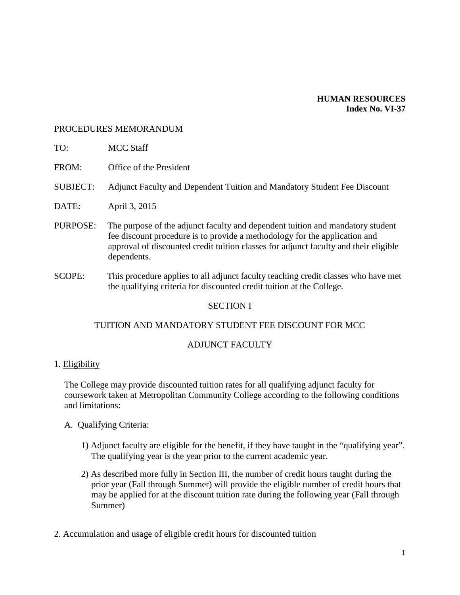#### **HUMAN RESOURCES Index No. VI-37**

#### PROCEDURES MEMORANDUM

- TO: MCC Staff
- FROM: Office of the President
- SUBJECT: Adjunct Faculty and Dependent Tuition and Mandatory Student Fee Discount
- DATE: April 3, 2015
- PURPOSE: The purpose of the adjunct faculty and dependent tuition and mandatory student fee discount procedure is to provide a methodology for the application and approval of discounted credit tuition classes for adjunct faculty and their eligible dependents.
- SCOPE: This procedure applies to all adjunct faculty teaching credit classes who have met the qualifying criteria for discounted credit tuition at the College.

## SECTION I

#### TUITION AND MANDATORY STUDENT FEE DISCOUNT FOR MCC

#### ADJUNCT FACULTY

#### 1. Eligibility

The College may provide discounted tuition rates for all qualifying adjunct faculty for coursework taken at Metropolitan Community College according to the following conditions and limitations:

- A. Qualifying Criteria:
	- 1) Adjunct faculty are eligible for the benefit, if they have taught in the "qualifying year". The qualifying year is the year prior to the current academic year.
	- 2) As described more fully in Section III, the number of credit hours taught during the prior year (Fall through Summer) will provide the eligible number of credit hours that may be applied for at the discount tuition rate during the following year (Fall through Summer)
- 2. Accumulation and usage of eligible credit hours for discounted tuition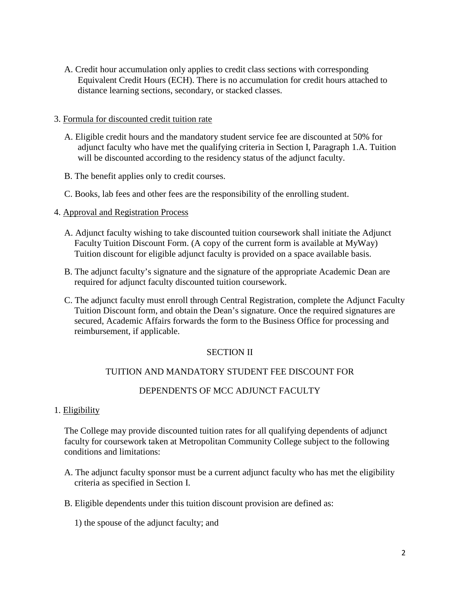A. Credit hour accumulation only applies to credit class sections with corresponding Equivalent Credit Hours (ECH). There is no accumulation for credit hours attached to distance learning sections, secondary, or stacked classes.

### 3. Formula for discounted credit tuition rate

- A. Eligible credit hours and the mandatory student service fee are discounted at 50% for adjunct faculty who have met the qualifying criteria in Section I, Paragraph 1.A. Tuition will be discounted according to the residency status of the adjunct faculty.
- B. The benefit applies only to credit courses.
- C. Books, lab fees and other fees are the responsibility of the enrolling student.
- 4. Approval and Registration Process
	- A. Adjunct faculty wishing to take discounted tuition coursework shall initiate the Adjunct Faculty Tuition Discount Form. (A copy of the current form is available at MyWay) Tuition discount for eligible adjunct faculty is provided on a space available basis.
	- B. The adjunct faculty's signature and the signature of the appropriate Academic Dean are required for adjunct faculty discounted tuition coursework.
	- C. The adjunct faculty must enroll through Central Registration, complete the Adjunct Faculty Tuition Discount form, and obtain the Dean's signature. Once the required signatures are secured, Academic Affairs forwards the form to the Business Office for processing and reimbursement, if applicable.

## SECTION II

## TUITION AND MANDATORY STUDENT FEE DISCOUNT FOR

## DEPENDENTS OF MCC ADJUNCT FACULTY

#### 1. Eligibility

The College may provide discounted tuition rates for all qualifying dependents of adjunct faculty for coursework taken at Metropolitan Community College subject to the following conditions and limitations:

- A. The adjunct faculty sponsor must be a current adjunct faculty who has met the eligibility criteria as specified in Section I.
- B. Eligible dependents under this tuition discount provision are defined as:

1) the spouse of the adjunct faculty; and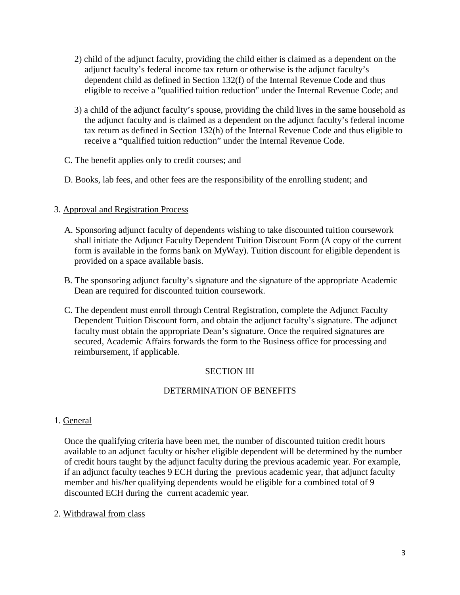- 2) child of the adjunct faculty, providing the child either is claimed as a dependent on the adjunct faculty's federal income tax return or otherwise is the adjunct faculty's dependent child as defined in Section 132(f) of the Internal Revenue Code and thus eligible to receive a "qualified tuition reduction" under the Internal Revenue Code; and
- 3) a child of the adjunct faculty's spouse, providing the child lives in the same household as the adjunct faculty and is claimed as a dependent on the adjunct faculty's federal income tax return as defined in Section 132(h) of the Internal Revenue Code and thus eligible to receive a "qualified tuition reduction" under the Internal Revenue Code.
- C. The benefit applies only to credit courses; and
- D. Books, lab fees, and other fees are the responsibility of the enrolling student; and

# 3. Approval and Registration Process

- A. Sponsoring adjunct faculty of dependents wishing to take discounted tuition coursework shall initiate the Adjunct Faculty Dependent Tuition Discount Form (A copy of the current form is available in the forms bank on MyWay). Tuition discount for eligible dependent is provided on a space available basis.
- B. The sponsoring adjunct faculty's signature and the signature of the appropriate Academic Dean are required for discounted tuition coursework.
- C. The dependent must enroll through Central Registration, complete the Adjunct Faculty Dependent Tuition Discount form, and obtain the adjunct faculty's signature. The adjunct faculty must obtain the appropriate Dean's signature. Once the required signatures are secured, Academic Affairs forwards the form to the Business office for processing and reimbursement, if applicable.

# SECTION III

# DETERMINATION OF BENEFITS

## 1. General

Once the qualifying criteria have been met, the number of discounted tuition credit hours available to an adjunct faculty or his/her eligible dependent will be determined by the number of credit hours taught by the adjunct faculty during the previous academic year. For example, if an adjunct faculty teaches 9 ECH during the previous academic year, that adjunct faculty member and his/her qualifying dependents would be eligible for a combined total of 9 discounted ECH during the current academic year.

## 2. Withdrawal from class